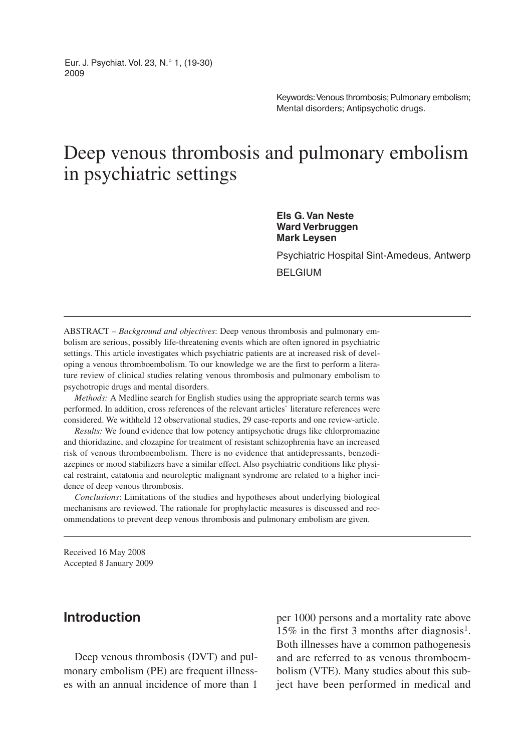Eur. J. Psychiat. Vol. 23, N.° 1, (19-30) 2009

> Keywords: Venous thrombosis; Pulmonary embolism; Mental disorders; Antipsychotic drugs.

# Deep venous thrombosis and pulmonary embolism in psychiatric settings

**Els G. Van Neste Ward Verbruggen Mark Leysen**

Psychiatric Hospital Sint-Amedeus, Antwerp

BELGIUM

ABSTRACT – *Background and objectives*: Deep venous thrombosis and pulmonary embolism are serious, possibly life-threatening events which are often ignored in psychiatric settings. This article investigates which psychiatric patients are at increased risk of developing a venous thromboembolism. To our knowledge we are the first to perform a literature review of clinical studies relating venous thrombosis and pulmonary embolism to psychotropic drugs and mental disorders.

*Methods:* A Medline search for English studies using the appropriate search terms was performed. In addition, cross references of the relevant articles` literature references were considered. We withheld 12 observational studies, 29 case-reports and one review-article.

*Results:* We found evidence that low potency antipsychotic drugs like chlorpromazine and thioridazine, and clozapine for treatment of resistant schizophrenia have an increased risk of venous thromboembolism. There is no evidence that antidepressants, benzodiazepines or mood stabilizers have a similar effect. Also psychiatric conditions like physical restraint, catatonia and neuroleptic malignant syndrome are related to a higher incidence of deep venous thrombosis.

*Conclusions*: Limitations of the studies and hypotheses about underlying biological mechanisms are reviewed. The rationale for prophylactic measures is discussed and recommendations to prevent deep venous thrombosis and pulmonary embolism are given.

Received 16 May 2008 Accepted 8 January 2009

### **Introduction**

Deep venous thrombosis (DVT) and pulmonary embolism (PE) are frequent illnesses with an annual incidence of more than 1

per 1000 persons and a mortality rate above 15% in the first 3 months after diagnosis<sup>1</sup>. Both illnesses have a common pathogenesis and are referred to as venous thromboembolism (VTE). Many studies about this subject have been performed in medical and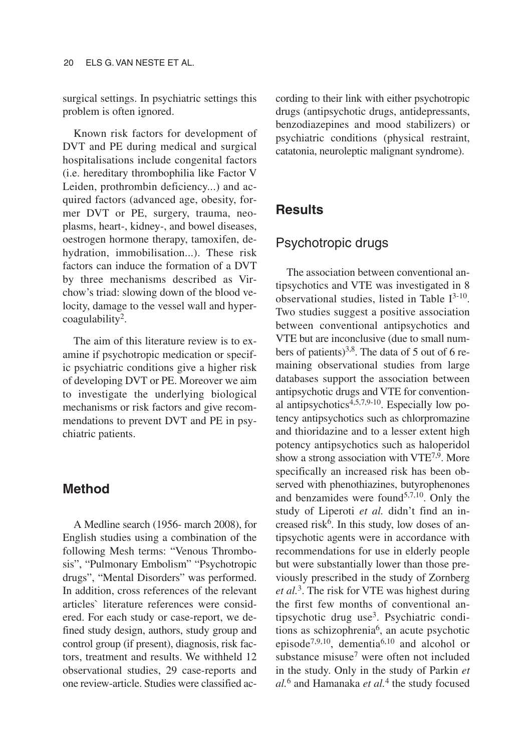surgical settings. In psychiatric settings this problem is often ignored.

Known risk factors for development of DVT and PE during medical and surgical hospitalisations include congenital factors (i.e. hereditary thrombophilia like Factor V Leiden, prothrombin deficiency...) and acquired factors (advanced age, obesity, former DVT or PE, surgery, trauma, neoplasms, heart-, kidney-, and bowel diseases, oestrogen hormone therapy, tamoxifen, dehydration, immobilisation...). These risk factors can induce the formation of a DVT by three mechanisms described as Virchow's triad: slowing down of the blood velocity, damage to the vessel wall and hypercoagulability2.

The aim of this literature review is to examine if psychotropic medication or specific psychiatric conditions give a higher risk of developing DVT or PE. Moreover we aim to investigate the underlying biological mechanisms or risk factors and give recommendations to prevent DVT and PE in psychiatric patients.

#### **Method**

A Medline search (1956- march 2008), for English studies using a combination of the following Mesh terms: "Venous Thrombosis", "Pulmonary Embolism" "Psychotropic drugs", "Mental Disorders" was performed. In addition, cross references of the relevant articles` literature references were considered. For each study or case-report, we defined study design, authors, study group and control group (if present), diagnosis, risk factors, treatment and results. We withheld 12 observational studies, 29 case-reports and one review-article. Studies were classified according to their link with either psychotropic drugs (antipsychotic drugs, antidepressants, benzodiazepines and mood stabilizers) or psychiatric conditions (physical restraint, catatonia, neuroleptic malignant syndrome).

### **Results**

#### Psychotropic drugs

The association between conventional antipsychotics and VTE was investigated in 8 observational studies, listed in Table  $I^{3-10}$ . Two studies suggest a positive association between conventional antipsychotics and VTE but are inconclusive (due to small numbers of patients)<sup>3,8</sup>. The data of 5 out of 6 remaining observational studies from large databases support the association between antipsychotic drugs and VTE for conventional antipsychotics $4,5,7,9-10$ . Especially low potency antipsychotics such as chlorpromazine and thioridazine and to a lesser extent high potency antipsychotics such as haloperidol show a strong association with VTE<sup>7,9</sup>. More specifically an increased risk has been observed with phenothiazines, butyrophenones and benzamides were found $5,7,10$ . Only the study of Liperoti *et al.* didn't find an increased risk<sup>6</sup>. In this study, low doses of antipsychotic agents were in accordance with recommendations for use in elderly people but were substantially lower than those previously prescribed in the study of Zornberg *et al.*3. The risk for VTE was highest during the first few months of conventional antipsychotic drug use3. Psychiatric conditions as schizophrenia<sup>6</sup>, an acute psychotic episode7,9,10, dementia6,10 and alcohol or substance misuse<sup>7</sup> were often not included in the study. Only in the study of Parkin *et al.*<sup>6</sup> and Hamanaka *et al.*<sup>4</sup> the study focused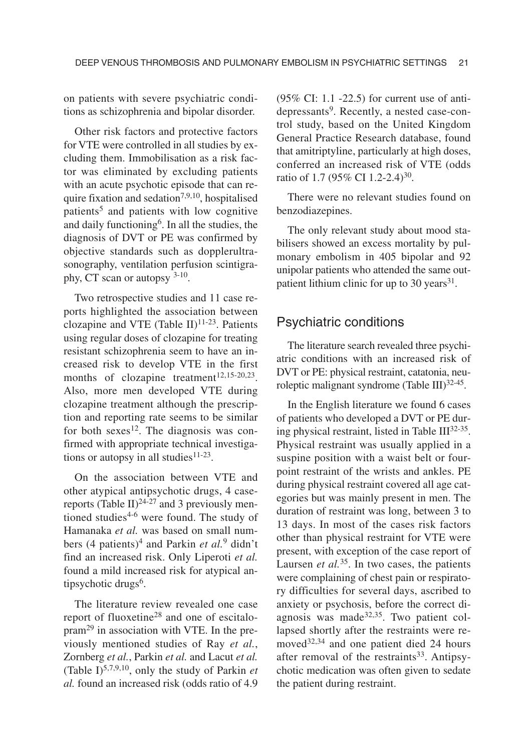on patients with severe psychiatric conditions as schizophrenia and bipolar disorder.

Other risk factors and protective factors for VTE were controlled in all studies by excluding them. Immobilisation as a risk factor was eliminated by excluding patients with an acute psychotic episode that can require fixation and sedation<sup>7,9,10</sup>, hospitalised patients<sup>5</sup> and patients with low cognitive and daily functioning<sup>6</sup>. In all the studies, the diagnosis of DVT or PE was confirmed by objective standards such as dopplerultrasonography, ventilation perfusion scintigraphy, CT scan or autopsy 3-10.

Two retrospective studies and 11 case reports highlighted the association between clozapine and VTE (Table II) $^{11-23}$ . Patients using regular doses of clozapine for treating resistant schizophrenia seem to have an increased risk to develop VTE in the first months of clozapine treatment<sup>12,15-20,23</sup>. Also, more men developed VTE during clozapine treatment although the prescription and reporting rate seems to be similar for both sexes<sup>12</sup>. The diagnosis was confirmed with appropriate technical investigations or autopsy in all studies $11-23$ .

On the association between VTE and other atypical antipsychotic drugs, 4 casereports (Table II)<sup>24-27</sup> and 3 previously mentioned studies<sup>4-6</sup> were found. The study of Hamanaka *et al.* was based on small numbers (4 patients)<sup>4</sup> and Parkin *et al.*<sup>9</sup> didn't find an increased risk. Only Liperoti *et al.* found a mild increased risk for atypical antipsychotic drugs<sup>6</sup>.

The literature review revealed one case report of fluoxetine<sup>28</sup> and one of escitalopram<sup>29</sup> in association with VTE. In the previously mentioned studies of Ray *et al.*, Zornberg *et al.*, Parkin *et al.* and Lacut *et al.* (Table I)5,7,9,10, only the study of Parkin *et al.* found an increased risk (odds ratio of 4.9 (95% CI: 1.1 -22.5) for current use of antidepressants<sup>9</sup>. Recently, a nested case-control study, based on the United Kingdom General Practice Research database, found that amitriptyline, particularly at high doses, conferred an increased risk of VTE (odds ratio of 1.7 (95% CI 1.2-2.4)<sup>30</sup>.

There were no relevant studies found on benzodiazepines.

The only relevant study about mood stabilisers showed an excess mortality by pulmonary embolism in 405 bipolar and 92 unipolar patients who attended the same outpatient lithium clinic for up to 30 years  $31$ .

#### Psychiatric conditions

The literature search revealed three psychiatric conditions with an increased risk of DVT or PE: physical restraint, catatonia, neuroleptic malignant syndrome (Table III)<sup>32-45</sup>.

In the English literature we found 6 cases of patients who developed a DVT or PE during physical restraint, listed in Table  $III^{32-35}$ . Physical restraint was usually applied in a suspine position with a waist belt or fourpoint restraint of the wrists and ankles. PE during physical restraint covered all age categories but was mainly present in men. The duration of restraint was long, between 3 to 13 days. In most of the cases risk factors other than physical restraint for VTE were present, with exception of the case report of Laursen *et al.*35. In two cases, the patients were complaining of chest pain or respiratory difficulties for several days, ascribed to anxiety or psychosis, before the correct diagnosis was made $32,35$ . Two patient collapsed shortly after the restraints were removed<sup>32,34</sup> and one patient died 24 hours after removal of the restraints<sup>33</sup>. Antipsychotic medication was often given to sedate the patient during restraint.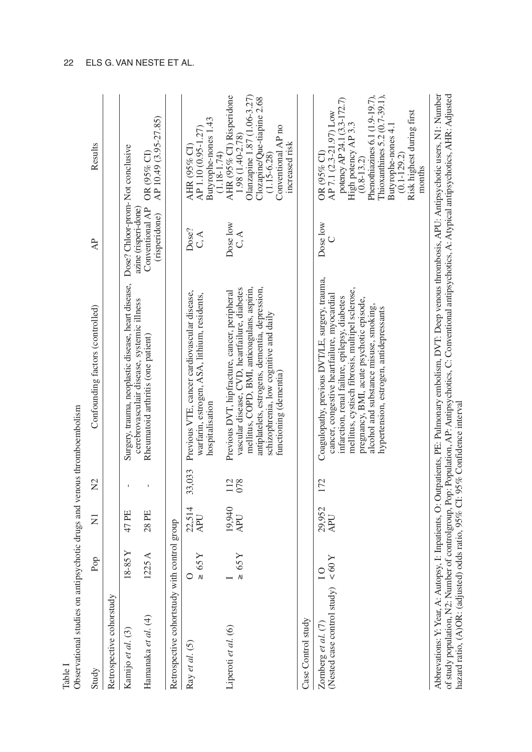| Observational studies on antipsychotic drugs and venous thromboembolism<br>Table I |                            |                      |             |                                                                                                                                                                                                                                                                                                                                     |                                                          |                                                                                                                                                                                                                                                                     |
|------------------------------------------------------------------------------------|----------------------------|----------------------|-------------|-------------------------------------------------------------------------------------------------------------------------------------------------------------------------------------------------------------------------------------------------------------------------------------------------------------------------------------|----------------------------------------------------------|---------------------------------------------------------------------------------------------------------------------------------------------------------------------------------------------------------------------------------------------------------------------|
| Study                                                                              | Pop                        | Ξ                    | $\tilde{z}$ | Confounding factors (controlled)                                                                                                                                                                                                                                                                                                    | $\overline{A}$                                           | Results                                                                                                                                                                                                                                                             |
| Retrospective cohorstudy                                                           |                            |                      |             |                                                                                                                                                                                                                                                                                                                                     |                                                          |                                                                                                                                                                                                                                                                     |
| Kamijo et al. (3)                                                                  | 18-85Y                     | 47 PE                |             | Surgery, trauma, neoplastic disease, heart disease,                                                                                                                                                                                                                                                                                 | Dose? Chloor-prom-Not conclusive                         |                                                                                                                                                                                                                                                                     |
| Hamanaka et al. (4)                                                                | 1225 A                     | 28 PE                |             | cerebrovasculair disease, systemic illness<br>Rheumatoid arthritis (one patient)                                                                                                                                                                                                                                                    | Conventional AP<br>azine (risperi-done)<br>(risperidone) | AP 10.49 (3.95-27.85)<br>OR (95% CI)                                                                                                                                                                                                                                |
| Retrospective cohortstudy                                                          | with control group         |                      |             |                                                                                                                                                                                                                                                                                                                                     |                                                          |                                                                                                                                                                                                                                                                     |
| Ray et al. (5)                                                                     | $\geq 65$ Y<br>$\circ$     | 22,514<br>APU        | 33,033      | Previous VTE, cancer cardiovascular disease,<br>warfarin, estrogen, ASA, lithium, residents,<br>hospitalisation                                                                                                                                                                                                                     | Dose?<br>C, A                                            | Butyrophe-nones 1.43<br>AP 1.10 (0.95-1.27)<br>AHR (95% CI)<br>$(1.18 - 1.74)$                                                                                                                                                                                      |
| Liperoti et al. (6)                                                                | $\geq 65$ Y                | 19,940<br><b>APU</b> | 112<br>078  | mellitus, COPD, BMI, anticoagulans, aspirin,<br>antiplatelets, estrogens, dementia, depression,<br>vascular disease, CVD, heartfailure, diabetes<br>Previous DVT, hipfracture, cancer, peripheral<br>schizophrenia, low cognitive and daily<br>functioning (dementia)                                                               | Dose low<br>C, A                                         | AHR (95% CI) Risperidone<br>Olanzapine 1.87 (1.06-3.27)<br>Clozapine/Que-tiapine 2.68<br>Conventional AP no<br>1.98 (1.40-2.78)<br>increased risk<br>$(1.15 - 6.28)$                                                                                                |
| Case Control study                                                                 |                            |                      |             |                                                                                                                                                                                                                                                                                                                                     |                                                          |                                                                                                                                                                                                                                                                     |
| (Nested case control study)<br>Zomberg et al. (7)                                  | $< 60$ Y<br>$\overline{C}$ | 29,952<br>APU        | 172         | Coagulopathy, previous DVT/LE, surgery, trauma,<br>mellitus, cystisch fibrosis, multipel sclerose,<br>cancer, congestive heartfailure, myocardial<br>infarction, renal failure, epilepsy, diabetes<br>pregnancy, BMI, acute psychotic episode,<br>alcohol and substance misuse, smoking,<br>hypertension, estrogen, antidepressants | Dose low                                                 | Phenothiazines 6.1 (1.9-19.7),<br>Thioxanthines 5.2 (0.7-39.1),<br>potency AP 24.1 (3.3-172.7)<br>Risk highest during first<br>AP 7.1 (2.3-21.97) Low<br>High potency AP 3.3<br>Butyrophe-nones 4.1<br>$OR$ (95% CI)<br>$(0.1 - 129.2)$<br>$(0.8 - 13.2)$<br>months |
|                                                                                    |                            |                      |             | Abbrevations: Y: Year, A: Autopsy, I: Inpatients, O: Outpatients, PE: Pulmonary embolism, DVT: Deep venous thrombosis, APU: Antipsychotic users, N1: Number                                                                                                                                                                         |                                                          |                                                                                                                                                                                                                                                                     |

of study population, N2: Number of controlgroup, Population, AP: Antipsychotics, C: Conventional antipsychotics, A: Atypical antipsychotics, AHR: Adjusted<br>hazard ratio, (A)OR: (adjusted) odds ratio, 95% C!: 95% Confidence of study population, N2: Number of controlgroup, Pop: Population, AP: Antipsychotics, C: Conventional antipsychotics, A: Atypical antipsychotics, AHR: Adjusted hazard ratio, (A)OR: (adjusted) odds ratio, 95% CI: 95% Confidence interval

#### 22 ELS G. VAN NESTE ET AL.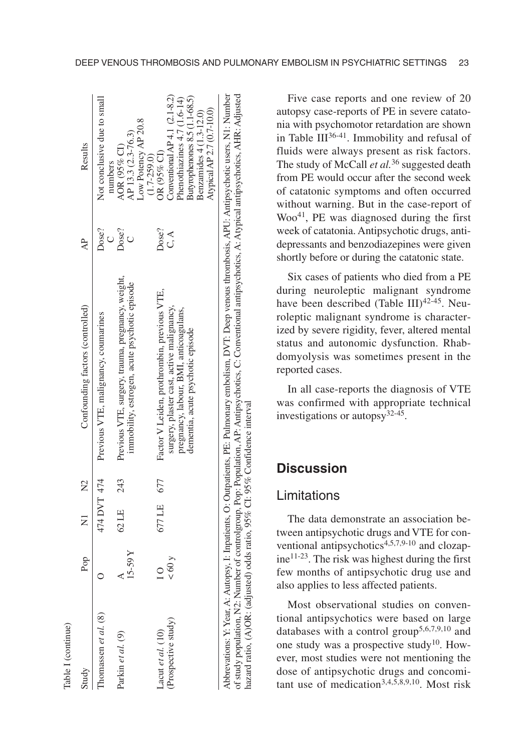| able I (continue)                         |               |                |               |                                                                                                                                                                         |                 |                                                                                                                                                             |
|-------------------------------------------|---------------|----------------|---------------|-------------------------------------------------------------------------------------------------------------------------------------------------------------------------|-----------------|-------------------------------------------------------------------------------------------------------------------------------------------------------------|
| Study                                     | Pop           | $\overline{z}$ | $\mathsf{N}2$ | Confounding factors (controlled)                                                                                                                                        | $\overline{AB}$ | Results                                                                                                                                                     |
| homassen <i>et al.</i> (8)                |               | 474 DVT 474    |               | Previous VTE, malignancy, coumarines                                                                                                                                    | )ose?<br>$\cup$ | Not conclusive due to small<br>numbers                                                                                                                      |
| Parkin et al. (9)                         | $15 - 59Y$    | 62 LE          | 243           | Previous VTE, surgery, trauma, pregnancy, weight,<br>immobility, estrogen, acute psychotic episode                                                                      | Dose?           | Low Potency AP 20.8<br>AP 13.3 (2.3-76.3)<br>AOR (95% CI)                                                                                                   |
| Prospective study)<br>-acut et al. $(10)$ | $\times 60$ y | 677 LE 677     |               | Factor V Leiden, prothrombin, previous VTE,<br>surgery, plaster cast, active malignancy,<br>pregnancy, labour, BMI, anticoagulans,<br>dementia, acute psychotic episode | Dose?<br>C.A    | Conventional AP4.1 $(2.1-8.2)$<br>Butyrophenones 8.5 (1.1-68.5)<br>Phenothiazines 4.7 (1.6-14)<br>Benzamides 4 (1.3-12.0)<br>OR (95% CI)<br>$(1.7 - 259.0)$ |
|                                           |               |                |               | Abbrevations: Y. Year, A: Autopsy, I: Inpatients, O: Outpatients, PE: Pulmonary embolism, DVT: Deep venous thrombosis, APU: Antipsychotic users, N1: Number             |                 | Atypical AP 2.7 (0.7-10.0)                                                                                                                                  |
|                                           |               |                |               |                                                                                                                                                                         |                 |                                                                                                                                                             |

Five case reports and one review of 20 autopsy case-reports of PE in severe catatonia with psychomotor retardation are shown in Table  $III^{36-41}$ . Immobility and refusal of fluids were always present as risk factors. The study of McCall *et al.*<sup>36</sup> suggested death from PE would occur after the second week of catatonic symptoms and often occurred without warning. But in the case-report of Woo<sup>41</sup>, PE was diagnosed during the first week of catatonia. Antipsychotic drugs, antidepressants and benzodiazepines were given shortly before or during the catatonic state.

Six cases of patients who died from a PE during neuroleptic malignant syndrome have been described (Table III) $42-45$ . Neuroleptic malignant syndrome is characterized by severe rigidity, fever, altered mental status and autonomic dysfunction. Rhabdomyolysis was sometimes present in the reported cases.

In all case-reports the diagnosis of VTE was confirmed with appropriate technical investigations or autopsy $32-45$ .

## **Discussion**

of study population, N2: Number of controlgroup, Pop: Population, AP: Antipsychotics, C: Conventional antipsychotics, A: Atypical antipsychotics, AHR: Adjusted

of study population, N2: Number of controlgroup, Pop: Population, AP: Antipsychotics, C: Conventional antipsychotics, A: Atypical antipsychotics, AHR: Adjusted

hazard ratio, (A)OR: (adjusted) odds ratio, 95% CI: 95% Confidence interval

hazard ratio, (A)OR: (adjusted) odds ratio, 95% CI: 95% Confidence interval

#### Limitations

The data demonstrate an association between antipsychotic drugs and VTE for conventional antipsychotics4,5,7,9-10 and clozap $ine^{11-23}$ . The risk was highest during the first few months of antipsychotic drug use and also applies to less affected patients.

Most observational studies on conventional antipsychotics were based on large databases with a control group<sup>5,6,7,9,10</sup> and one study was a prospective study<sup>10</sup>. However, most studies were not mentioning the dose of antipsychotic drugs and concomitant use of medication3,4,5,8,9,10. Most risk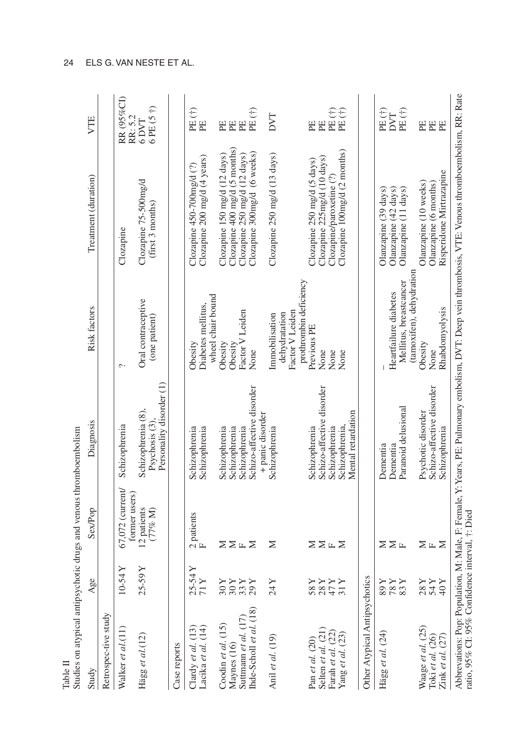| Studies on atypical antipsychotic drugs and venous thromboembolism<br>Table II |                                                                                                                                                                                                                                                                                                                                                                                                                                                                                                                                                       |                                       |                                                                 |                                                    |                                                                                                                                                                                                          |                       |
|--------------------------------------------------------------------------------|-------------------------------------------------------------------------------------------------------------------------------------------------------------------------------------------------------------------------------------------------------------------------------------------------------------------------------------------------------------------------------------------------------------------------------------------------------------------------------------------------------------------------------------------------------|---------------------------------------|-----------------------------------------------------------------|----------------------------------------------------|----------------------------------------------------------------------------------------------------------------------------------------------------------------------------------------------------------|-----------------------|
| Study                                                                          | Age                                                                                                                                                                                                                                                                                                                                                                                                                                                                                                                                                   | <b>Sex/Pop</b>                        | Diagnosis                                                       | <b>Risk factors</b>                                | Treatment (duration)                                                                                                                                                                                     | VTE                   |
| Retrospec-tive study                                                           |                                                                                                                                                                                                                                                                                                                                                                                                                                                                                                                                                       |                                       |                                                                 |                                                    |                                                                                                                                                                                                          |                       |
| Walker et al.(11)                                                              | $-54Y$                                                                                                                                                                                                                                                                                                                                                                                                                                                                                                                                                | $67,072$ (current/<br>former users)   | Schizophrenia                                                   | $\tilde{\phantom{0}}$                              | Clozapine                                                                                                                                                                                                | RR (95%CI)<br>RR: 5.2 |
| Hägg et al. $(12)$                                                             | 25-59Y                                                                                                                                                                                                                                                                                                                                                                                                                                                                                                                                                | 12 patients<br>$(77\% M)$             | Personality disorder (1)<br>Schizophrenia (8),<br>Psychosis (3) | Oral contraceptive<br>(one patient)                | Clozapine 75-500mg/d<br>(first 3 months)                                                                                                                                                                 | 6PE(5)<br>6 DVT       |
| Case reports                                                                   |                                                                                                                                                                                                                                                                                                                                                                                                                                                                                                                                                       |                                       |                                                                 |                                                    |                                                                                                                                                                                                          |                       |
| Lacika et al. (14)<br>Clardy et al. $(13)$                                     | $\frac{X}{X}$<br>25                                                                                                                                                                                                                                                                                                                                                                                                                                                                                                                                   | $2$ patients ${\rm F}$                | Schizophrenia<br>Schizophrenia                                  | Diabetes mellitus,<br>Obesity                      | Clozapine 200 mg/d (4 years)<br>Clozapine $450-700$ mg/d $(?)$                                                                                                                                           | PE(†)<br>PE           |
| Coodin et al. $(15)$                                                           |                                                                                                                                                                                                                                                                                                                                                                                                                                                                                                                                                       |                                       |                                                                 | wheel chair bound                                  |                                                                                                                                                                                                          |                       |
| Maynes (16)                                                                    | ≻                                                                                                                                                                                                                                                                                                                                                                                                                                                                                                                                                     |                                       | Schizophrenia<br>Schizophrenia                                  | Obesity<br>Obesity                                 | Clozapine $400$ mg/d (5 months)<br>Clozapine 150 mg/d (12 days)                                                                                                                                          | PE<br>EE              |
| Ihde-Scholl et al. (18)<br>Suttmann et al. (17)                                | <b>AAR</b><br>ಇಇವನ                                                                                                                                                                                                                                                                                                                                                                                                                                                                                                                                    | ⋝⋝出⋝                                  | Schizo-affective disorder<br>Schizophrenia                      | Factor V Leiden<br>None                            | Clozapine 300mg/d (6 weeks)<br>Clozapine 250 mg/d (12 days)                                                                                                                                              | PE $(f)$<br>PE        |
|                                                                                |                                                                                                                                                                                                                                                                                                                                                                                                                                                                                                                                                       |                                       | + panic disorder                                                |                                                    |                                                                                                                                                                                                          |                       |
| Anil et al. $(19)$                                                             | ≻<br>24                                                                                                                                                                                                                                                                                                                                                                                                                                                                                                                                               | z                                     | Schizophrenia                                                   | Factor V Leiden<br>dehydratation<br>Immobilisation | Clozapine 250 mg/d (13 days)                                                                                                                                                                             | DVT                   |
| Pan et al. $(20)$                                                              |                                                                                                                                                                                                                                                                                                                                                                                                                                                                                                                                                       |                                       | Schizophrenia                                                   | prothrombin deficiency<br>Previous PE              | Clozapine 250 mg/d (5 days)                                                                                                                                                                              | PE                    |
| Selten et al. (21)                                                             | $\begin{array}{l}\nX \times Y \\ X \times Y \\ X \times Y \\ X \times Y\n\end{array}$                                                                                                                                                                                                                                                                                                                                                                                                                                                                 | $\Sigma \Sigma$ $\mathbb{E}$ $\Sigma$ | Schizo-affective disorder                                       | None                                               | Clozapine 225mg/d (10 days)                                                                                                                                                                              | PE                    |
| Farah et al. (22)                                                              |                                                                                                                                                                                                                                                                                                                                                                                                                                                                                                                                                       |                                       | Schizophrenia                                                   | None                                               | Clozapine/paroxetine (?)                                                                                                                                                                                 | PE $(f)$              |
| Yang et al. $(23)$                                                             |                                                                                                                                                                                                                                                                                                                                                                                                                                                                                                                                                       |                                       | Mental retardation<br>Schizophrenia                             | None                                               | Clozapine $100$ mg/d (2 months)                                                                                                                                                                          | PE(†)                 |
| Other Atypical Antipsychotics                                                  |                                                                                                                                                                                                                                                                                                                                                                                                                                                                                                                                                       |                                       |                                                                 |                                                    |                                                                                                                                                                                                          |                       |
| Hägg et al. (24)                                                               | Y<br>878                                                                                                                                                                                                                                                                                                                                                                                                                                                                                                                                              | ≍                                     | Dementia                                                        |                                                    | Olanzapine (39 days)                                                                                                                                                                                     | PE(†)                 |
|                                                                                | Y                                                                                                                                                                                                                                                                                                                                                                                                                                                                                                                                                     | $\Sigma$ in                           | Dementia                                                        | Heartfailure diabetes                              | Olanzapine (42 days)                                                                                                                                                                                     | DVT                   |
|                                                                                | Υ<br>83                                                                                                                                                                                                                                                                                                                                                                                                                                                                                                                                               |                                       | Paranoid delusional                                             | (tamoxifen), dehydration<br>Mellitus, breastcancer | Olanzapine (11 days)                                                                                                                                                                                     | PE(†)                 |
| Waage et al. (25)                                                              | $\begin{array}{c}\nX \setminus 0 \\ X \setminus 2 \\ X \setminus 2 \\ X \setminus 2 \\ X \setminus 2 \\ X \setminus 2 \\ X \setminus 2 \\ Y \setminus 2 \\ Y \setminus 2 \\ Y \setminus 2 \\ Y \setminus 2 \\ Y \setminus 2 \\ Y \setminus 2 \\ Y \setminus 2 \\ Y \setminus 2 \\ Y \setminus 2 \\ Y \setminus 2 \\ Y \setminus 2 \\ Y \setminus 2 \\ Y \setminus 2 \\ Y \setminus 2 \\ Y \setminus 2 \\ Y \setminus 2 \\ Y \setminus 2 \\ Y \setminus 2 \\ Y \setminus 2 \\ Y \setminus 2 \\ Y \setminus 2 \\ Y \setminus 2 \\ Y \setminus 2 \\ Y \$ |                                       | Psychotic disorder                                              | Obesity                                            | Olanzapine (10 weeks)                                                                                                                                                                                    | PE                    |
| Toki et al. (26)                                                               |                                                                                                                                                                                                                                                                                                                                                                                                                                                                                                                                                       | ⋝出⋝                                   | Schizo-affective disorder                                       | None                                               | Olanzapine (6 months)                                                                                                                                                                                    | $\mathbb{H}$          |
| $\overline{Z}$ ink et al. $(27)$                                               |                                                                                                                                                                                                                                                                                                                                                                                                                                                                                                                                                       |                                       | Schizophrenia                                                   | Rhabdomyolysis                                     | Risperidone Mirtrazapine                                                                                                                                                                                 | PE                    |
|                                                                                |                                                                                                                                                                                                                                                                                                                                                                                                                                                                                                                                                       |                                       |                                                                 |                                                    | Abbrevations: Pop: Population, M: Male, F: Female, Y: Years, PE: Pulmonary embolism, DVT: Deep vein thrombosis, VTE: Venous thromboembolism, RR: Rate<br>ratio, 95% CI: 95% Confidence interval, †: Died |                       |

#### 24 ELS G. VAN NESTE ET AL.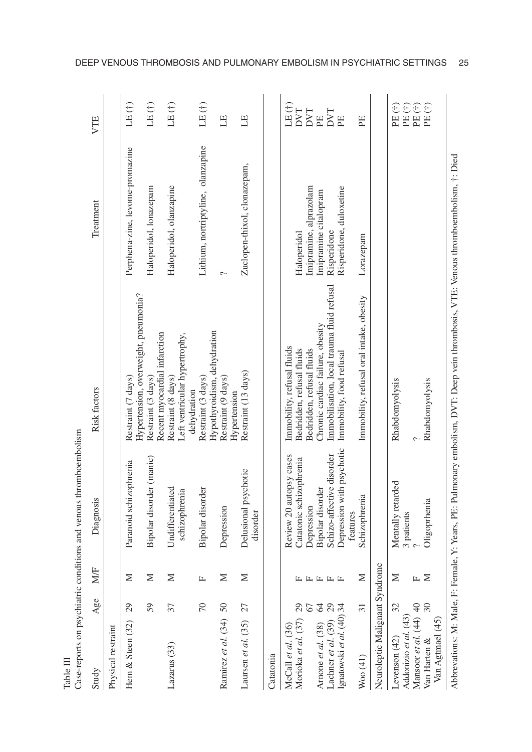| Case-reports on psychiatric                                                                                                                                                                                                                                                             |                                                |                                    | conditions and venous thromboembolism                                                                                                                                                                                          |                                                                                                                                                                                                                                                                                    |                                                                                                                       |                                                                                                                                  |
|-----------------------------------------------------------------------------------------------------------------------------------------------------------------------------------------------------------------------------------------------------------------------------------------|------------------------------------------------|------------------------------------|--------------------------------------------------------------------------------------------------------------------------------------------------------------------------------------------------------------------------------|------------------------------------------------------------------------------------------------------------------------------------------------------------------------------------------------------------------------------------------------------------------------------------|-----------------------------------------------------------------------------------------------------------------------|----------------------------------------------------------------------------------------------------------------------------------|
| Study                                                                                                                                                                                                                                                                                   | Age                                            | <b>NVF</b>                         | Diagnosis                                                                                                                                                                                                                      | <b>Risk factors</b>                                                                                                                                                                                                                                                                | Treatment                                                                                                             | VTE                                                                                                                              |
| Physical restraint                                                                                                                                                                                                                                                                      |                                                |                                    |                                                                                                                                                                                                                                |                                                                                                                                                                                                                                                                                    |                                                                                                                       |                                                                                                                                  |
| Hem & Steen (32)                                                                                                                                                                                                                                                                        | 29                                             | Σ                                  | Paranoid schizophrenia                                                                                                                                                                                                         | Restraint (7 days)                                                                                                                                                                                                                                                                 | Perphena-zine, levome-promazine                                                                                       | LE(f)                                                                                                                            |
|                                                                                                                                                                                                                                                                                         | 59                                             | Σ                                  | Bipolar disorder (manic)                                                                                                                                                                                                       | Hypertension, overweight, pneumonia?<br>Restraint (3 days)                                                                                                                                                                                                                         | Haloperidol, lonazepam                                                                                                | LE(f)                                                                                                                            |
| Lazarus (33)                                                                                                                                                                                                                                                                            | 37                                             | ≍                                  | Undifferentiated<br>schizophrenia                                                                                                                                                                                              | Recent myocardial infarction<br>Left ventricular hypertrophy,<br>Restraint (8 days)                                                                                                                                                                                                | Haloperidol, olanzapine                                                                                               | LE(f)                                                                                                                            |
|                                                                                                                                                                                                                                                                                         | $\sqrt{2}$                                     | $\mathbf{L}$                       | Bipolar disorder                                                                                                                                                                                                               | Hypothyroidism, dehydration<br>Restraint (3 days)<br>dehydration                                                                                                                                                                                                                   | Lithium, nortriptyline, olanzapine                                                                                    | LE(†)                                                                                                                            |
| Ramirez et al. (34) 50                                                                                                                                                                                                                                                                  |                                                | Σ                                  | Depression                                                                                                                                                                                                                     | Restraint (9 days)                                                                                                                                                                                                                                                                 | ç.                                                                                                                    | EL                                                                                                                               |
| Laursen et al. (35)                                                                                                                                                                                                                                                                     | 27                                             | Z                                  | Delusional psychotic<br>disorder                                                                                                                                                                                               | Restraint (13 days)<br>Hypertension                                                                                                                                                                                                                                                | Zuclopen-thixol, clonazepam,                                                                                          | H                                                                                                                                |
| Catatonia                                                                                                                                                                                                                                                                               |                                                |                                    |                                                                                                                                                                                                                                |                                                                                                                                                                                                                                                                                    |                                                                                                                       |                                                                                                                                  |
| Neuroleptic Malignant Syndrome<br>Arnone et al. $(38)$ 64<br>Lachner et al. $(39)$ 29<br>Ignatowski et al. $(40)$ 34<br>Mansoor et al. (44) 40<br>Morioka et al. (37)<br>Addonizio et al. (43)<br>Van Agtmael (45)<br>McCall et al. $(36)$<br>Levenson (42)<br>Van Harten &<br>Woo (41) | 32<br>$\mathfrak{S}0$<br>67<br>$\overline{31}$ | Σ<br>$\geq$<br>≍<br>Щ<br>L L L L L | Depression with psychotic<br>Review 20 autopsy cases<br>Schizo-affective disorder<br>Catatonic schizophrenia<br>Mentally retarded<br>Bipolar disorder<br>Schizophrenia<br>Oligoprhenia<br>Depression<br>features<br>3 patients | Immobilisation, local trauma fluid refusal<br>Immobility, refusal oral intake, obesity<br>Chronic cardiac failure, obesity<br>Immobility, refusal fluids<br>Bedridden, refusal fluids<br>Bedridden, refusal fluids<br>Immobility, food refusal<br>Rhabdomyolysis<br>Rhabdomyolysis | Imipramine, alprazolam<br>Risperidone, duloxetine<br>Imipramine citalopram<br>Risperidone<br>Haloperidol<br>Lorazepam | LE(†)<br>$PE($ $\dagger)$<br>PE(†)<br>$PE($ $\dagger)$<br>$\oplus$<br><b>DVT</b><br>DVT<br>DVT<br>$\mathbb{H}$<br>EE<br>PE<br>PE |
| $\Lambda$ hhearations: $M \cdot M_0$ la E.                                                                                                                                                                                                                                              |                                                |                                    |                                                                                                                                                                                                                                | $\Gamma_{\alpha m\alpha\beta}$ V $V_{\alpha\alpha\beta\alpha}$ DE: Dalmonary amboliam $\Gamma\text{N/T}$ : Dean your thrombosic. VTE: Vanous thrombomboliam $\pm$ : $\Gamma_{\alpha\alpha}$                                                                                        |                                                                                                                       |                                                                                                                                  |

Table III

Abbrevations: M: Male, F: Female, Y: Years, PE: Pulmonary embolism, DVVI: Deep vem thrombosis, VVIE: Venous thromboembolism, T: Died Abbrevations: M: Male, F: Female, Y: Years, PE: Pulmonary embolism, DVT: Deep vein thrombosis, VTE: Venous thromboembolism, †: Died

DEEP VENOUS THROMBOSIS AND PULMONARY EMBOLISM IN PSYCHIATRIC SETTINGS 25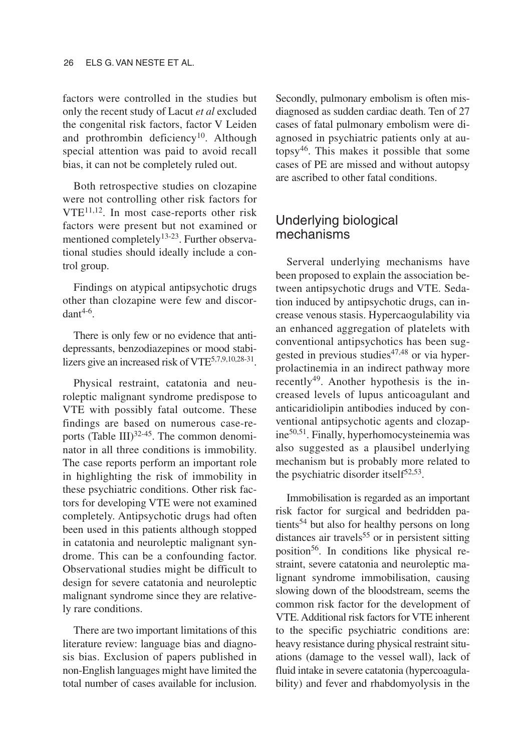factors were controlled in the studies but only the recent study of Lacut *et al* excluded the congenital risk factors, factor V Leiden and prothrombin deficiency<sup>10</sup>. Although special attention was paid to avoid recall bias, it can not be completely ruled out.

Both retrospective studies on clozapine were not controlling other risk factors for  $VTE^{11,12}$ . In most case-reports other risk factors were present but not examined or mentioned completely<sup>13-23</sup>. Further observational studies should ideally include a control group.

Findings on atypical antipsychotic drugs other than clozapine were few and discor $d$ ant $4-6$ .

There is only few or no evidence that antidepressants, benzodiazepines or mood stabilizers give an increased risk of VTE<sup>5,7,9,10,28-31</sup>.

Physical restraint, catatonia and neuroleptic malignant syndrome predispose to VTE with possibly fatal outcome. These findings are based on numerous case-reports (Table III) $32-45$ . The common denominator in all three conditions is immobility. The case reports perform an important role in highlighting the risk of immobility in these psychiatric conditions. Other risk factors for developing VTE were not examined completely. Antipsychotic drugs had often been used in this patients although stopped in catatonia and neuroleptic malignant syndrome. This can be a confounding factor. Observational studies might be difficult to design for severe catatonia and neuroleptic malignant syndrome since they are relatively rare conditions.

There are two important limitations of this literature review: language bias and diagnosis bias. Exclusion of papers published in non-English languages might have limited the total number of cases available for inclusion.

Secondly, pulmonary embolism is often misdiagnosed as sudden cardiac death. Ten of 27 cases of fatal pulmonary embolism were diagnosed in psychiatric patients only at autopsy46. This makes it possible that some cases of PE are missed and without autopsy are ascribed to other fatal conditions.

### Underlying biological mechanisms

Serveral underlying mechanisms have been proposed to explain the association between antipsychotic drugs and VTE. Sedation induced by antipsychotic drugs, can increase venous stasis. Hypercaogulability via an enhanced aggregation of platelets with conventional antipsychotics has been suggested in previous studies $47,48$  or via hyperprolactinemia in an indirect pathway more recently<sup>49</sup>. Another hypothesis is the increased levels of lupus anticoagulant and anticaridiolipin antibodies induced by conventional antipsychotic agents and clozapine50,51. Finally, hyperhomocysteinemia was also suggested as a plausibel underlying mechanism but is probably more related to the psychiatric disorder itself $52,53$ .

Immobilisation is regarded as an important risk factor for surgical and bedridden patients<sup>54</sup> but also for healthy persons on long distances air travels<sup>55</sup> or in persistent sitting position56. In conditions like physical restraint, severe catatonia and neuroleptic malignant syndrome immobilisation, causing slowing down of the bloodstream, seems the common risk factor for the development of VTE. Additional risk factors for VTE inherent to the specific psychiatric conditions are: heavy resistance during physical restraint situations (damage to the vessel wall), lack of fluid intake in severe catatonia (hypercoagulability) and fever and rhabdomyolysis in the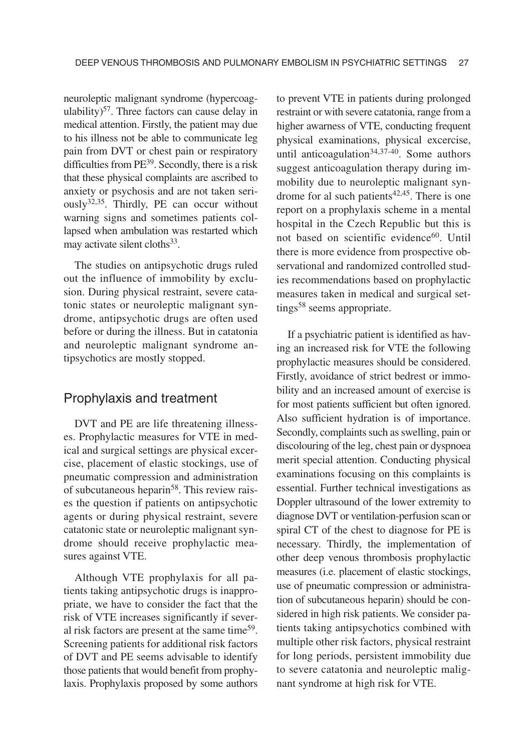neuroleptic malignant syndrome (hypercoagulability)<sup>57</sup>. Three factors can cause delay in medical attention. Firstly, the patient may due to his illness not be able to communicate leg pain from DVT or chest pain or respiratory difficulties from PE<sup>39</sup>. Secondly, there is a risk that these physical complaints are ascribed to anxiety or psychosis and are not taken seri- $\text{ously}^{32,35}$ . Thirdly, PE can occur without warning signs and sometimes patients collapsed when ambulation was restarted which may activate silent cloths<sup>33</sup>.

The studies on antipsychotic drugs ruled out the influence of immobility by exclusion. During physical restraint, severe catatonic states or neuroleptic malignant syndrome, antipsychotic drugs are often used before or during the illness. But in catatonia and neuroleptic malignant syndrome antipsychotics are mostly stopped.

#### Prophylaxis and treatment

DVT and PE are life threatening illnesses. Prophylactic measures for VTE in medical and surgical settings are physical excercise, placement of elastic stockings, use of pneumatic compression and administration of subcutaneous heparin<sup>58</sup>. This review raises the question if patients on antipsychotic agents or during physical restraint, severe catatonic state or neuroleptic malignant syndrome should receive prophylactic measures against VTE.

Although VTE prophylaxis for all patients taking antipsychotic drugs is inappropriate, we have to consider the fact that the risk of VTE increases significantly if several risk factors are present at the same time<sup>59</sup>. Screening patients for additional risk factors of DVT and PE seems advisable to identify those patients that would benefit from prophylaxis. Prophylaxis proposed by some authors to prevent VTE in patients during prolonged restraint or with severe catatonia, range from a higher awarness of VTE, conducting frequent physical examinations, physical excercise, until anticoagulation $34,37-40$ . Some authors suggest anticoagulation therapy during immobility due to neuroleptic malignant syndrome for al such patients $42,45$ . There is one report on a prophylaxis scheme in a mental hospital in the Czech Republic but this is not based on scientific evidence<sup>60</sup>. Until there is more evidence from prospective observational and randomized controlled studies recommendations based on prophylactic measures taken in medical and surgical settings<sup>58</sup> seems appropriate.

If a psychiatric patient is identified as having an increased risk for VTE the following prophylactic measures should be considered. Firstly, avoidance of strict bedrest or immobility and an increased amount of exercise is for most patients sufficient but often ignored. Also sufficient hydration is of importance. Secondly, complaints such as swelling, pain or discolouring of the leg, chest pain or dyspnoea merit special attention. Conducting physical examinations focusing on this complaints is essential. Further technical investigations as Doppler ultrasound of the lower extremity to diagnose DVT or ventilation-perfusion scan or spiral CT of the chest to diagnose for PE is necessary. Thirdly, the implementation of other deep venous thrombosis prophylactic measures (i.e. placement of elastic stockings, use of pneumatic compression or administration of subcutaneous heparin) should be considered in high risk patients. We consider patients taking antipsychotics combined with multiple other risk factors, physical restraint for long periods, persistent immobility due to severe catatonia and neuroleptic malignant syndrome at high risk for VTE.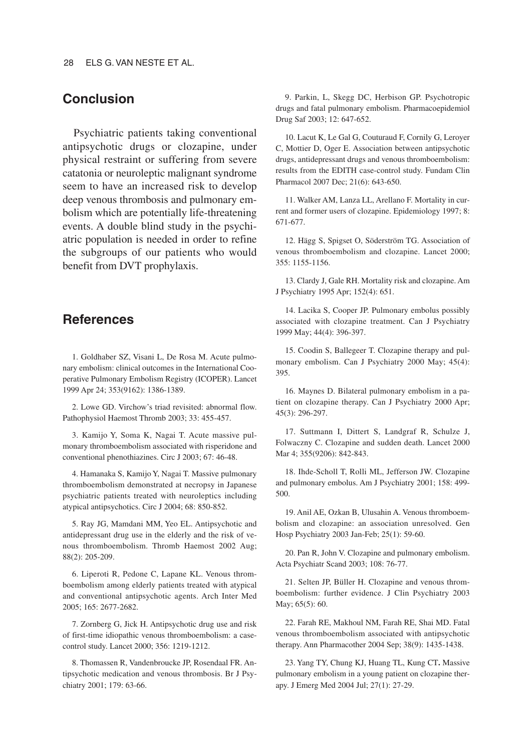### **Conclusion**

Psychiatric patients taking conventional antipsychotic drugs or clozapine, under physical restraint or suffering from severe catatonia or neuroleptic malignant syndrome seem to have an increased risk to develop deep venous thrombosis and pulmonary embolism which are potentially life-threatening events. A double blind study in the psychiatric population is needed in order to refine the subgroups of our patients who would benefit from DVT prophylaxis.

#### **References**

1. Goldhaber SZ, Visani L, De Rosa M. Acute pulmonary embolism: clinical outcomes in the International Cooperative Pulmonary Embolism Registry (ICOPER). Lancet 1999 Apr 24; 353(9162): 1386-1389.

2. Lowe GD. Virchow's triad revisited: abnormal flow. Pathophysiol Haemost Thromb 2003; 33: 455-457.

3. Kamijo Y, Soma K, Nagai T. Acute massive pulmonary thromboembolism associated with risperidone and conventional phenothiazines. Circ J 2003; 67: 46-48.

4. Hamanaka S, Kamijo Y, Nagai T. Massive pulmonary thromboembolism demonstrated at necropsy in Japanese psychiatric patients treated with neuroleptics including atypical antipsychotics. Circ J 2004; 68: 850-852.

5. Ray JG, Mamdani MM, Yeo EL. Antipsychotic and antidepressant drug use in the elderly and the risk of venous thromboembolism. Thromb Haemost 2002 Aug; 88(2): 205-209.

6. Liperoti R, Pedone C, Lapane KL. Venous thromboembolism among elderly patients treated with atypical and conventional antipsychotic agents. Arch Inter Med 2005; 165: 2677-2682.

7. Zornberg G, Jick H. Antipsychotic drug use and risk of first-time idiopathic venous thromboembolism: a casecontrol study. Lancet 2000; 356: 1219-1212.

8. Thomassen R, Vandenbroucke JP, Rosendaal FR. Antipsychotic medication and venous thrombosis. Br J Psychiatry 2001; 179: 63-66.

9. Parkin, L, Skegg DC, Herbison GP. Psychotropic drugs and fatal pulmonary embolism. Pharmacoepidemiol Drug Saf 2003; 12: 647-652.

10. Lacut K, Le Gal G, Couturaud F, Cornily G, Leroyer C, Mottier D, Oger E. Association between antipsychotic drugs, antidepressant drugs and venous thromboembolism: results from the EDITH case-control study. Fundam Clin Pharmacol 2007 Dec; 21(6): 643-650.

11. Walker AM, Lanza LL, Arellano F. Mortality in current and former users of clozapine. Epidemiology 1997; 8: 671-677.

12. Hägg S, Spigset O, Söderström TG. Association of venous thromboembolism and clozapine. Lancet 2000; 355: 1155-1156.

13. Clardy J, Gale RH. Mortality risk and clozapine. Am J Psychiatry 1995 Apr; 152(4): 651.

14. Lacika S, Cooper JP. Pulmonary embolus possibly associated with clozapine treatment. Can J Psychiatry 1999 May; 44(4): 396-397.

15. Coodin S, Ballegeer T. Clozapine therapy and pulmonary embolism. Can J Psychiatry 2000 May; 45(4): 395.

16. Maynes D. Bilateral pulmonary embolism in a patient on clozapine therapy. Can J Psychiatry 2000 Apr; 45(3): 296-297.

17. Suttmann I, Dittert S, Landgraf R, Schulze J, Folwaczny C. Clozapine and sudden death. Lancet 2000 Mar 4; 355(9206): 842-843.

18. Ihde-Scholl T, Rolli ML, Jefferson JW. Clozapine and pulmonary embolus. Am J Psychiatry 2001; 158: 499- 500.

19. Anil AE, Ozkan B, Ulusahin A. Venous thromboembolism and clozapine: an association unresolved. Gen Hosp Psychiatry 2003 Jan-Feb; 25(1): 59-60.

20. Pan R, John V. Clozapine and pulmonary embolism. Acta Psychiatr Scand 2003; 108: 76-77.

21. Selten JP, Büller H. Clozapine and venous thromboembolism: further evidence. J Clin Psychiatry 2003 May; 65(5): 60.

22. Farah RE, Makhoul NM, Farah RE, Shai MD. Fatal venous thromboembolism associated with antipsychotic therapy. Ann Pharmacother 2004 Sep; 38(9): 1435-1438.

23. Yang TY, Chung KJ, Huang TL, Kung CT**.** Massive pulmonary embolism in a young patient on clozapine therapy. J Emerg Med 2004 Jul; 27(1): 27-29.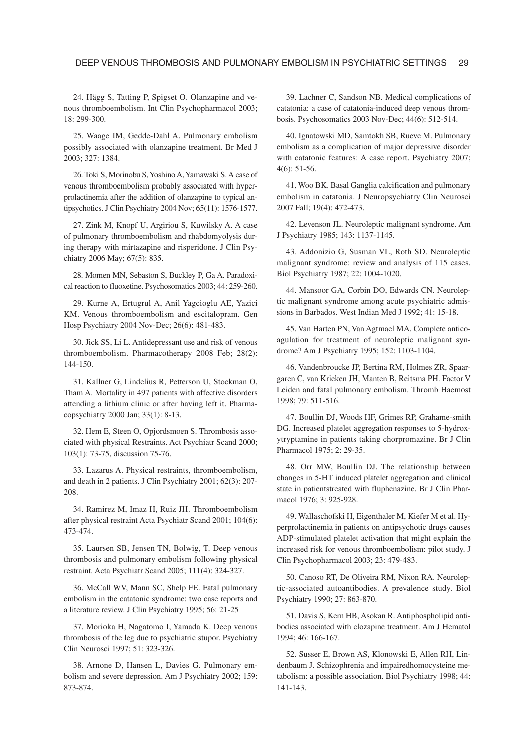24. Hägg S, Tatting P, Spigset O. Olanzapine and venous thromboembolism. Int Clin Psychopharmacol 2003; 18: 299-300.

25. Waage IM, Gedde-Dahl A. Pulmonary embolism possibly associated with olanzapine treatment. Br Med J 2003; 327: 1384.

26. Toki S, Morinobu S,Yoshino A,Yamawaki S. A case of venous thromboembolism probably associated with hyperprolactinemia after the addition of olanzapine to typical antipsychotics. J Clin Psychiatry 2004 Nov; 65(11): 1576-1577.

27. Zink M, Knopf U, Argiriou S, Kuwilsky A. A case of pulmonary thromboembolism and rhabdomyolysis during therapy with mirtazapine and risperidone. J Clin Psychiatry 2006 May; 67(5): 835.

28. Momen MN, Sebaston S, Buckley P, Ga A. Paradoxical reaction to fluoxetine. Psychosomatics 2003; 44: 259-260.

29. Kurne A, Ertugrul A, Anil Yagcioglu AE, Yazici KM. Venous thromboembolism and escitalopram. Gen Hosp Psychiatry 2004 Nov-Dec; 26(6): 481-483.

30. Jick SS, Li L. Antidepressant use and risk of venous thromboembolism. Pharmacotherapy 2008 Feb; 28(2): 144-150.

31. Kallner G, Lindelius R, Petterson U, Stockman O, Tham A. Mortality in 497 patients with affective disorders attending a lithium clinic or after having left it. Pharmacopsychiatry 2000 Jan; 33(1): 8-13.

32. Hem E, Steen O, Opjordsmoen S. Thrombosis associated with physical Restraints. Act Psychiatr Scand 2000; 103(1): 73-75, discussion 75-76.

33. Lazarus A. Physical restraints, thromboembolism, and death in 2 patients. J Clin Psychiatry 2001; 62(3): 207- 208.

34. Ramirez M, Imaz H, Ruiz JH. Thromboembolism after physical restraint Acta Psychiatr Scand 2001; 104(6): 473-474.

35. Laursen SB, Jensen TN, Bolwig, T. Deep venous thrombosis and pulmonary embolism following physical restraint. Acta Psychiatr Scand 2005; 111(4): 324-327.

36. McCall WV, Mann SC, Shelp FE. Fatal pulmonary embolism in the catatonic syndrome: two case reports and a literature review. J Clin Psychiatry 1995; 56: 21-25

37. Morioka H, Nagatomo I, Yamada K. Deep venous thrombosis of the leg due to psychiatric stupor. Psychiatry Clin Neurosci 1997; 51: 323-326.

38. Arnone D, Hansen L, Davies G. Pulmonary embolism and severe depression. Am J Psychiatry 2002; 159: 873-874.

39. Lachner C, Sandson NB. Medical complications of catatonia: a case of catatonia-induced deep venous thrombosis. Psychosomatics 2003 Nov-Dec; 44(6): 512-514.

40. Ignatowski MD, Samtokh SB, Rueve M. Pulmonary embolism as a complication of major depressive disorder with catatonic features: A case report. Psychiatry 2007; 4(6): 51-56.

41. Woo BK. Basal Ganglia calcification and pulmonary embolism in catatonia. J Neuropsychiatry Clin Neurosci 2007 Fall; 19(4): 472-473.

42. Levenson JL. Neuroleptic malignant syndrome. Am J Psychiatry 1985; 143: 1137-1145.

43. Addonizio G, Susman VL, Roth SD. Neuroleptic malignant syndrome: review and analysis of 115 cases. Biol Psychiatry 1987; 22: 1004-1020.

44. Mansoor GA, Corbin DO, Edwards CN. Neuroleptic malignant syndrome among acute psychiatric admissions in Barbados. West Indian Med J 1992; 41: 15-18.

45. Van Harten PN, Van Agtmael MA. Complete anticoagulation for treatment of neuroleptic malignant syndrome? Am J Psychiatry 1995; 152: 1103-1104.

46. Vandenbroucke JP, Bertina RM, Holmes ZR, Spaargaren C, van Krieken JH, Manten B, Reitsma PH. Factor V Leiden and fatal pulmonary embolism. Thromb Haemost 1998; 79: 511-516.

47. Boullin DJ, Woods HF, Grimes RP, Grahame-smith DG. Increased platelet aggregation responses to 5-hydroxytryptamine in patients taking chorpromazine. Br J Clin Pharmacol 1975; 2: 29-35.

48. Orr MW, Boullin DJ. The relationship between changes in 5-HT induced platelet aggregation and clinical state in patientstreated with fluphenazine. Br J Clin Pharmacol 1976; 3: 925-928.

49. Wallaschofski H, Eigenthaler M, Kiefer M et al. Hyperprolactinemia in patients on antipsychotic drugs causes ADP-stimulated platelet activation that might explain the increased risk for venous thromboembolism: pilot study. J Clin Psychopharmacol 2003; 23: 479-483.

50. Canoso RT, De Oliveira RM, Nixon RA. Neuroleptic-associated autoantibodies. A prevalence study. Biol Psychiatry 1990; 27: 863-870.

51. Davis S, Kern HB, Asokan R. Antiphospholipid antibodies associated with clozapine treatment. Am J Hematol 1994; 46: 166-167.

52. Susser E, Brown AS, Klonowski E, Allen RH, Lindenbaum J. Schizophrenia and impairedhomocysteine metabolism: a possible association. Biol Psychiatry 1998; 44: 141-143.